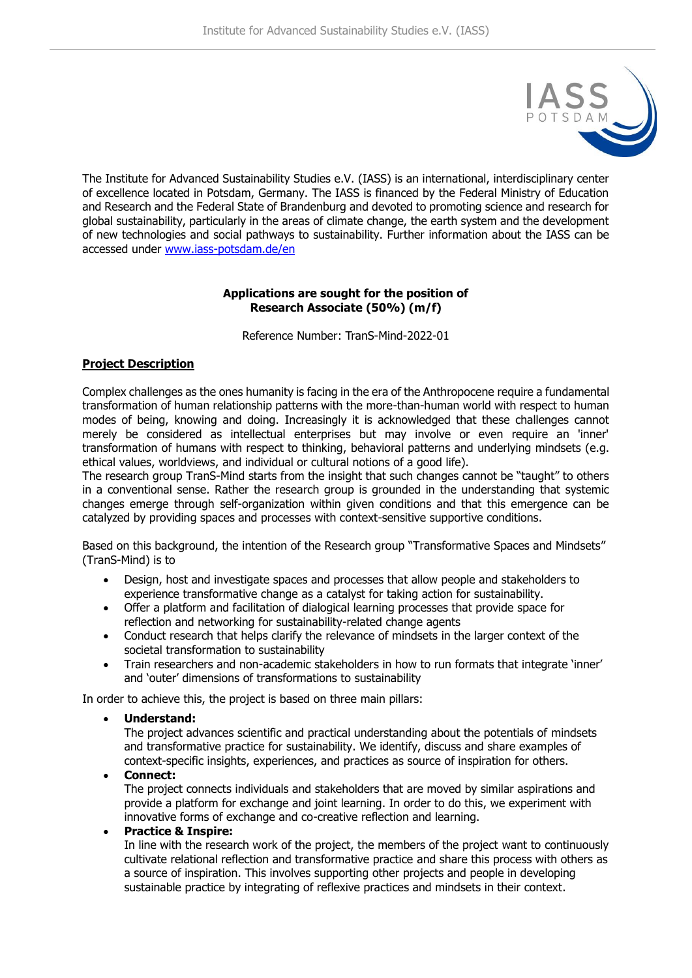

The Institute for Advanced Sustainability Studies e.V. (IASS) is an international, interdisciplinary center of excellence located in Potsdam, Germany. The IASS is financed by the Federal Ministry of Education and Research and the Federal State of Brandenburg and devoted to promoting science and research for global sustainability, particularly in the areas of climate change, the earth system and the development of new technologies and social pathways to sustainability. Further information about the IASS can be accessed under [www.iass-potsdam.de/en](http://www.iass-potsdam.de/en)

# **Applications are sought for the position of Research Associate (50%) (m/f)**

Reference Number: TranS-Mind-2022-01

## **Project Description**

Complex challenges as the ones humanity is facing in the era of the Anthropocene require a fundamental transformation of human relationship patterns with the more-than-human world with respect to human modes of being, knowing and doing. Increasingly it is acknowledged that these challenges cannot merely be considered as intellectual enterprises but may involve or even require an 'inner' transformation of humans with respect to thinking, behavioral patterns and underlying mindsets (e.g. ethical values, worldviews, and individual or cultural notions of a good life).

The research group TranS-Mind starts from the insight that such changes cannot be "taught" to others in a conventional sense. Rather the research group is grounded in the understanding that systemic changes emerge through self-organization within given conditions and that this emergence can be catalyzed by providing spaces and processes with context-sensitive supportive conditions.

Based on this background, the intention of the Research group "Transformative Spaces and Mindsets" (TranS-Mind) is to

- Design, host and investigate spaces and processes that allow people and stakeholders to experience transformative change as a catalyst for taking action for sustainability.
- Offer a platform and facilitation of dialogical learning processes that provide space for reflection and networking for sustainability-related change agents
- Conduct research that helps clarify the relevance of mindsets in the larger context of the societal transformation to sustainability
- Train researchers and non-academic stakeholders in how to run formats that integrate 'inner' and 'outer' dimensions of transformations to sustainability

In order to achieve this, the project is based on three main pillars:

• **Understand:**

The project advances scientific and practical understanding about the potentials of mindsets and transformative practice for sustainability. We identify, discuss and share examples of context-specific insights, experiences, and practices as source of inspiration for others.

• **Connect:**

The project connects individuals and stakeholders that are moved by similar aspirations and provide a platform for exchange and joint learning. In order to do this, we experiment with innovative forms of exchange and co-creative reflection and learning.

• **Practice & Inspire:**

In line with the research work of the project, the members of the project want to continuously cultivate relational reflection and transformative practice and share this process with others as a source of inspiration. This involves supporting other projects and people in developing sustainable practice by integrating of reflexive practices and mindsets in their context.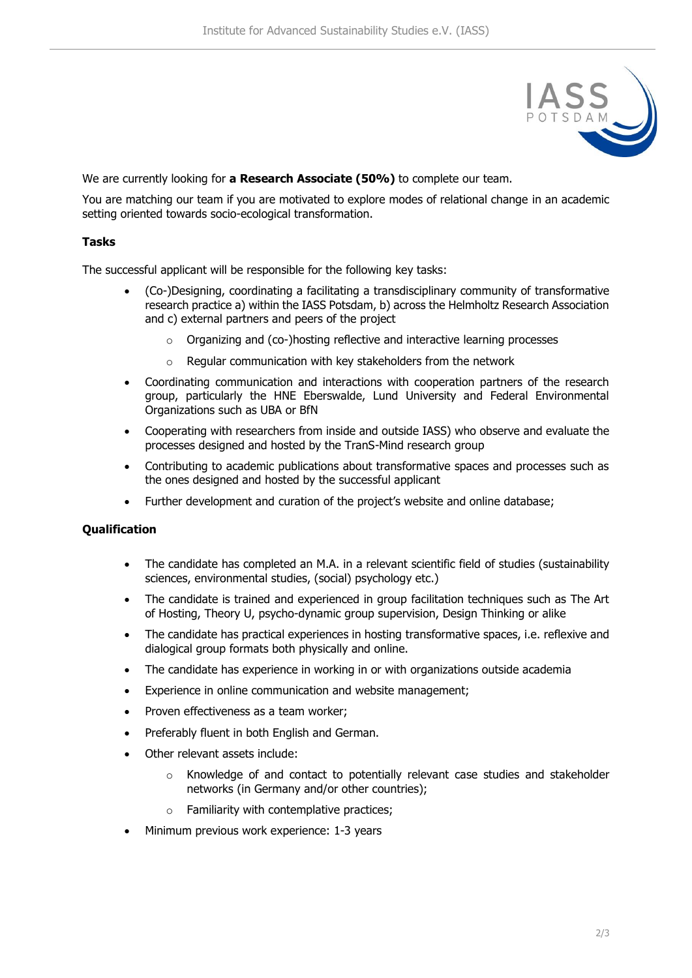

We are currently looking for **a Research Associate (50%)** to complete our team.

You are matching our team if you are motivated to explore modes of relational change in an academic setting oriented towards socio-ecological transformation.

## **Tasks**

The successful applicant will be responsible for the following key tasks:

- (Co-)Designing, coordinating a facilitating a transdisciplinary community of transformative research practice a) within the IASS Potsdam, b) across the Helmholtz Research Association and c) external partners and peers of the project
	- o Organizing and (co-)hosting reflective and interactive learning processes
	- o Regular communication with key stakeholders from the network
- Coordinating communication and interactions with cooperation partners of the research group, particularly the HNE Eberswalde, Lund University and Federal Environmental Organizations such as UBA or BfN
- Cooperating with researchers from inside and outside IASS) who observe and evaluate the processes designed and hosted by the TranS-Mind research group
- Contributing to academic publications about transformative spaces and processes such as the ones designed and hosted by the successful applicant
- Further development and curation of the project's website and online database;

### **Qualification**

- The candidate has completed an M.A. in a relevant scientific field of studies (sustainability sciences, environmental studies, (social) psychology etc.)
- The candidate is trained and experienced in group facilitation techniques such as The Art of Hosting, Theory U, psycho-dynamic group supervision, Design Thinking or alike
- The candidate has practical experiences in hosting transformative spaces, i.e. reflexive and dialogical group formats both physically and online.
- The candidate has experience in working in or with organizations outside academia
- Experience in online communication and website management;
- Proven effectiveness as a team worker;
- Preferably fluent in both English and German.
- Other relevant assets include:
	- $\circ$  Knowledge of and contact to potentially relevant case studies and stakeholder networks (in Germany and/or other countries);
	- $\circ$  Familiarity with contemplative practices;
- Minimum previous work experience: 1-3 years